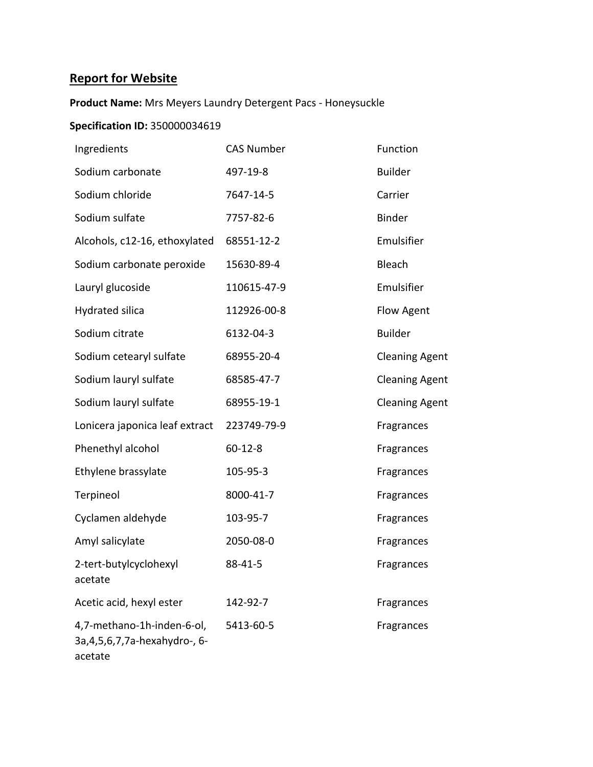## **Report for Website**

## **Product Name:** Mrs Meyers Laundry Detergent Pacs - Honeysuckle

## **Specification ID:** 350000034619

| Ingredients                                                                | <b>CAS Number</b> | Function              |
|----------------------------------------------------------------------------|-------------------|-----------------------|
| Sodium carbonate                                                           | 497-19-8          | <b>Builder</b>        |
| Sodium chloride                                                            | 7647-14-5         | Carrier               |
| Sodium sulfate                                                             | 7757-82-6         | <b>Binder</b>         |
| Alcohols, c12-16, ethoxylated                                              | 68551-12-2        | Emulsifier            |
| Sodium carbonate peroxide                                                  | 15630-89-4        | Bleach                |
| Lauryl glucoside                                                           | 110615-47-9       | Emulsifier            |
| Hydrated silica                                                            | 112926-00-8       | Flow Agent            |
| Sodium citrate                                                             | 6132-04-3         | <b>Builder</b>        |
| Sodium cetearyl sulfate                                                    | 68955-20-4        | <b>Cleaning Agent</b> |
| Sodium lauryl sulfate                                                      | 68585-47-7        | <b>Cleaning Agent</b> |
| Sodium lauryl sulfate                                                      | 68955-19-1        | <b>Cleaning Agent</b> |
| Lonicera japonica leaf extract                                             | 223749-79-9       | Fragrances            |
| Phenethyl alcohol                                                          | $60 - 12 - 8$     | Fragrances            |
| Ethylene brassylate                                                        | 105-95-3          | Fragrances            |
| Terpineol                                                                  | 8000-41-7         | Fragrances            |
| Cyclamen aldehyde                                                          | 103-95-7          | Fragrances            |
| Amyl salicylate                                                            | 2050-08-0         | Fragrances            |
| 2-tert-butylcyclohexyl<br>acetate                                          | 88-41-5           | Fragrances            |
| Acetic acid, hexyl ester                                                   | 142-92-7          | Fragrances            |
| 4,7-methano-1h-inden-6-ol,<br>3a, 4, 5, 6, 7, 7a-hexahydro-, 6-<br>acetate | 5413-60-5         | Fragrances            |